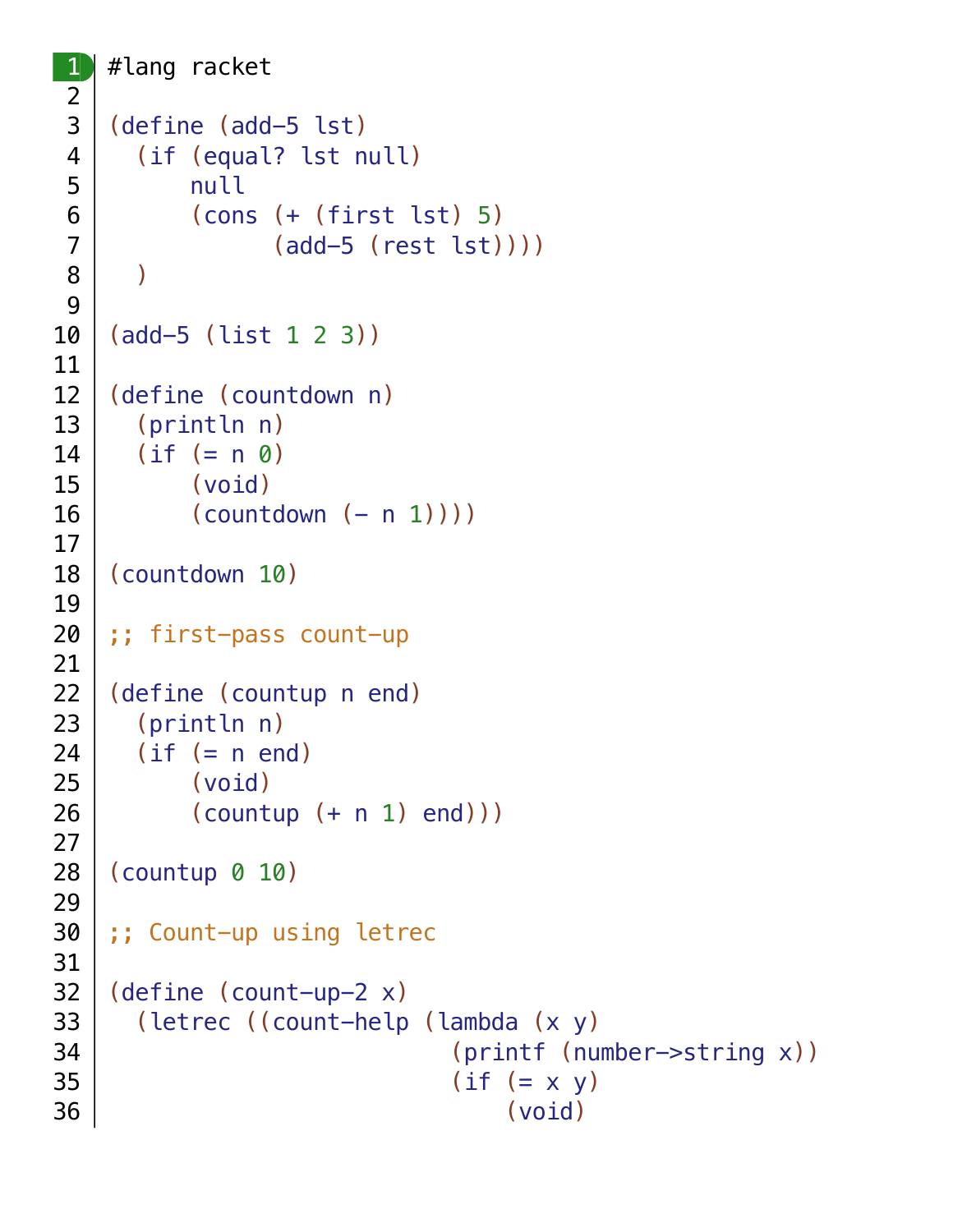```
#lang racket
(define (add-5 lst)
   (if (equal? lst null)
       null
       (cons (+ (first lst) 5)
              (add-5 (rest lst))))
   )
(add-5 (list 1 2 3))
(define (countdown n)
   (println n)
 (if (= n 0) (void)
      (countdown (- n 1)))
(countdown 10)
;; first-pass count-up
(define (countup n end)
   (println n)
  (if (= n end)) (void)
      (countup (+ n 1) end)))(countup 0 10)
;; Count-up using letrec
(define (count-up-2 x)
   (letrec ((count-help (lambda (x y)
                            (printf (number->string x))
                          (if (= x y) (void)
```